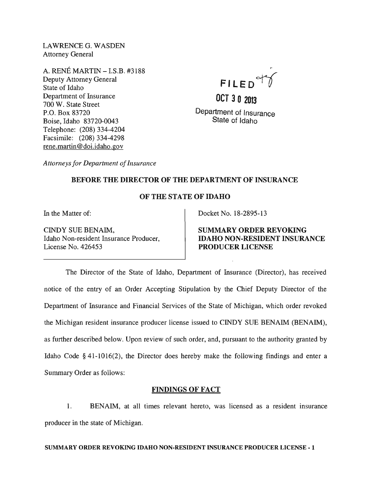LAWRENCE G. WASDEN Attorney General

A. RENE MARTIN -I.S.B. #3188 Deputy Attorney General State of Idaho Department of Insurance 700 W. State Street P.O. Box 83720 Boise, Idaho 83720-0043 Telephone: (208) 334-4204 Facsimile: (208) 334-4298 rene.martin@doi.idaho.gov

FILED<sup>of</sup>

**OCT 3 0 2013**  Department of Insurance State of Idaho

*Attorneys for Department of Insurance* 

### BEFORE THE DIRECTOR OF THE DEPARTMENT OF INSURANCE

### OF THE STATE OF IDAHO

In the Matter of:

CINDY SUE BENAIM, Idaho Non-resident Insurance Producer, License No. 426453

Docket No. 18-2895-13

SUMMARY ORDER REVOKING IDAHO NON-RESIDENT INSURANCE PRODUCER LICENSE

The Director of the State of Idaho, Department of Insurance (Director), has received notice of the entry of an Order Accepting Stipulation by the Chief Deputy Director of the Department of Insurance and Financial Services of the State of Michigan, which order revoked the Michigan resident insurance producer license issued to CINDY SUE BENAIM (BENAIM), as further described below. Upon review of such order, and, pursuant to the authority granted by Idaho Code § 41-1016(2), the Director does hereby make the following findings and enter a Summary Order as follows:

## FINDINGS OF FACT

1. BENAIM, at all times relevant hereto, was licensed as a resident insurance producer in the state of Michigan.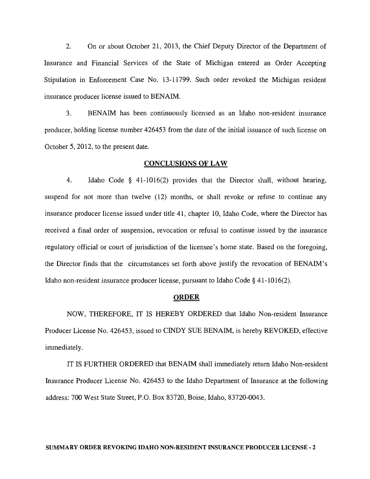2. On or about October 21, 2013, the Chief Deputy Director of the Department of Insurance and Financial Services of the State of Michigan entered an Order Accepting Stipulation in Enforcement Case No. 13-11799. Such order revoked the Michigan resident insurance producer license issued to BENAIM.

3. BENAIM has been continuously licensed as an Idaho non-resident insurance producer, holding license number 426453 from the date of the initial issuance of such license on October 5, 2012, to the present date.

#### CONCLUSIONS OF LAW

4. Idaho Code § 41-1016(2) provides that the Director shall, without hearing, suspend for not more than twelve (12) months, or shall revoke or refuse to continue any insurance producer license issued under title 41, chapter 10, Idaho Code, where the Director has received a final order of suspension, revocation or refusal to continue issued by the insurance regulatory official or court of jurisdiction of the licensee's home state. Based on the foregoing, the Director finds that the circumstances set forth above justify the revocation of BENAIM's Idaho non-resident insurance producer license, pursuant to Idaho Code § 41-1016(2).

### **ORDER**

NOW, THEREFORE, IT IS HEREBY ORDERED that Idaho Non-resident Insurance Producer License No. 426453, issued to CINDY SUE BENAIM, is hereby REVOKED, effective immediately.

IT IS FURTHER ORDERED that BENAIM shall immediately return Idaho Non-resident Insurance Producer License No. 426453 to the Idaho Department of Insurance at the following address: 700 West State Street, P.O. Box 83720, Boise, Idaho, 83720-0043.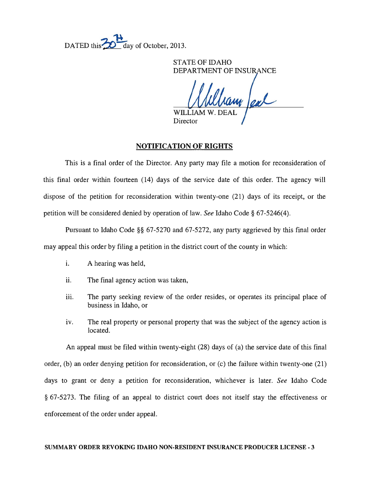DATED this  $\frac{1}{20}$  day of October, 2013.

STATE OF IDAHO DEPARTMENT OF INSURANCE

WILLIAM W. DEAL Director

### NOTIFICATION OF RIGHTS

This is a final order of the Director. Any party may file a motion for reconsideration of this final order within fourteen (14) days of the service date of this order. The agency will dispose of the petition for reconsideration within twenty-one (21) days of its receipt, or the petition will be considered denied by operation of law. *See* Idaho Code § 67-5246(4).

Pursuant to Idaho Code §§ 67-5270 and 67-5272, any party aggrieved by this final order may appeal this order by filing a petition in the district court of the county in which:

- i. A hearing was held,
- ii. The final agency action was taken,
- iii. The party seeking review of the order resides, or operates its principal place of business in Idaho, or
- iv. The real property or personal property that was the subject of the agency action is located.

An appeal must be filed within twenty-eight (28) days of (a) the service date of this final order, (b) an order denying petition for reconsideration, or (c) the failure within twenty-one (21) days to grant or deny a petition for reconsideration, whichever is later. *See* Idaho Code § 67-5273. The filing of an appeal to district court does not itself stay the effectiveness or enforcement of the order under appeal.

#### SUMMARY ORDER REVOKING IDAHO NON-RESIDENT INSURANCE PRODUCER LICENSE - 3